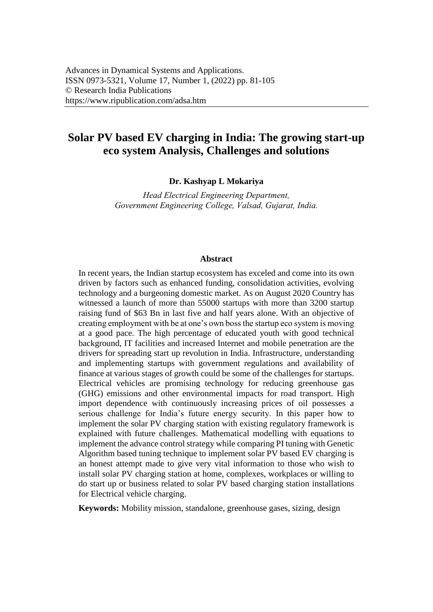# **Solar PV based EV charging in India: The growing start-up eco system Analysis, Challenges and solutions**

**Dr. Kashyap L Mokariya**

*Head Electrical Engineering Department, Government Engineering College, Valsad, Gujarat, India.*

#### **Abstract**

In recent years, the Indian startup ecosystem has exceled and come into its own driven by factors such as enhanced funding, consolidation activities, evolving technology and a burgeoning domestic market. As on August 2020 Country has witnessed a launch of more than 55000 startups with more than 3200 startup raising fund of \$63 Bn in last five and half years alone. With an objective of creating employment with be at one's own boss the startup eco system is moving at a good pace. The high percentage of educated youth with good technical background, IT facilities and increased Internet and mobile penetration are the drivers for spreading start up revolution in India. Infrastructure, understanding and implementing startups with government regulations and availability of finance at various stages of growth could be some of the challenges for startups. Electrical vehicles are promising technology for reducing greenhouse gas (GHG) emissions and other environmental impacts for road transport. High import dependence with continuously increasing prices of oil possesses a serious challenge for India's future energy security. In this paper how to implement the solar PV charging station with existing regulatory framework is explained with future challenges. Mathematical modelling with equations to implement the advance control strategy while comparing PI tuning with Genetic Algorithm based tuning technique to implement solar PV based EV charging is an honest attempt made to give very vital information to those who wish to install solar PV charging station at home, complexes, workplaces or willing to do start up or business related to solar PV based charging station installations for Electrical vehicle charging.

**Keywords:** Mobility mission, standalone, greenhouse gases, sizing, design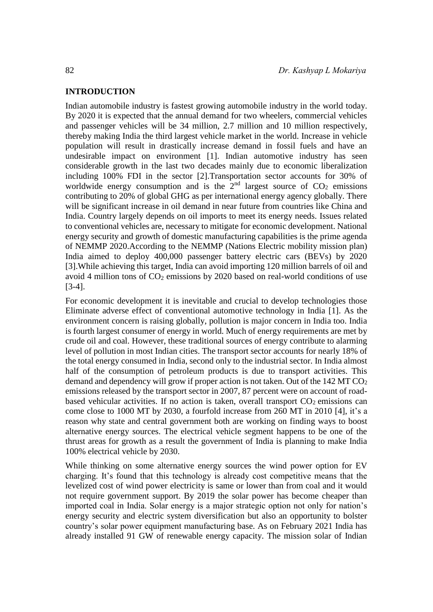#### **INTRODUCTION**

Indian automobile industry is fastest growing automobile industry in the world today. By 2020 it is expected that the annual demand for two wheelers, commercial vehicles and passenger vehicles will be 34 million, 2.7 million and 10 million respectively, thereby making India the third largest vehicle market in the world. Increase in vehicle population will result in drastically increase demand in fossil fuels and have an undesirable impact on environment [\[1\].](#page-22-0) Indian automotive industry has seen considerable growth in the last two decades mainly due to economic liberalization including 100% FDI in the sector [\[2\].T](#page-22-0)ransportation sector accounts for 30% of worldwide energy consumption and is the  $2<sup>nd</sup>$  largest source of  $CO<sub>2</sub>$  emissions contributing to 20% of global GHG as per international energy agency globally. There will be significant increase in oil demand in near future from countries like China and India. Country largely depends on oil imports to meet its energy needs. Issues related to conventional vehicles are, necessary to mitigate for economic development. National energy security and growth of domestic manufacturing capabilities is the prime agenda of NEMMP 2020.According to the NEMMP (Nations Electric mobility mission plan) India aimed to deploy 400,000 passenger battery electric cars (BEVs) by 2020 [\[3\]](#page-22-0).While achieving this target, India can avoid importing 120 million barrels of oil and avoid 4 million tons of  $CO<sub>2</sub>$  emissions by 2020 based on real-world conditions of use [\[3-4\].](#page-22-0)

For economic development it is inevitable and crucial to develop technologies those Eliminate adverse effect of conventional automotive technology in India [\[1\].](#page-22-0) As the environment concern is raising globally, pollution is major concern in India too. India is fourth largest consumer of energy in world. Much of energy requirements are met by crude oil and coal. However, these traditional sources of energy contribute to alarming level of pollution in most Indian cities. The transport sector accounts for nearly 18% of the total energy consumed in India, second only to the industrial sector. In India almost half of the consumption of petroleum products is due to transport activities. This demand and dependency will grow if proper action is not taken. Out of the  $142 \text{ MT } CO<sub>2</sub>$ emissions released by the transport sector in 2007, 87 percent were on account of roadbased vehicular activities. If no action is taken, overall transport  $CO<sub>2</sub>$  emissions can come close to 1000 MT by 2030, a fourfold increase from 260 MT in 2010 [\[4\], i](#page-22-0)t's a reason why state and central government both are working on finding ways to boost alternative energy sources. The electrical vehicle segment happens to be one of the thrust areas for growth as a result the government of India is planning to make India 100% electrical vehicle by 2030.

While thinking on some alternative energy sources the wind power option for EV charging. It's found that this technology is already cost competitive means that the levelized cost of wind power electricity is same or lower than from coal and it would not require government support. By 2019 the solar power has become cheaper than imported coal in India. Solar energy is a major strategic option not only for nation's energy security and electric system diversification but also an opportunity to bolster country's solar power equipment manufacturing base. As on February 2021 India has already installed 91 GW of renewable energy capacity. The mission solar of Indian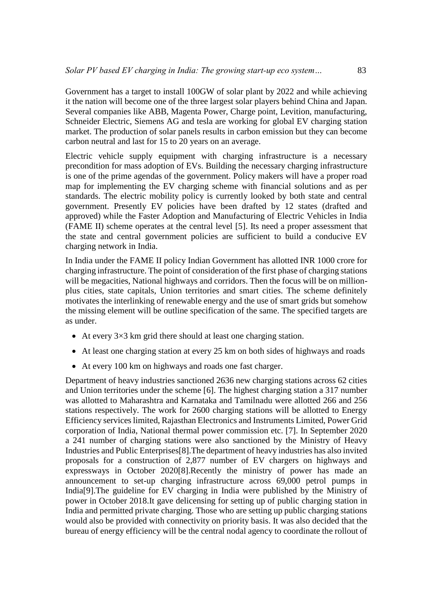Government has a target to install 100GW of solar plant by 2022 and while achieving it the nation will become one of the three largest solar players behind China and Japan. Several companies like ABB, Magenta Power, Charge point, Levition, manufacturing, Schneider Electric, Siemens AG and tesla are working for global EV charging station market. The production of solar panels results in carbon emission but they can become carbon neutral and last for 15 to 20 years on an average.

Electric vehicle supply equipment with charging infrastructure is a necessary precondition for mass adoption of EVs. Building the necessary charging infrastructure is one of the prime agendas of the government. Policy makers will have a proper road map for implementing the EV charging scheme with financial solutions and as per standards. The electric mobility policy is currently looked by both state and central government. Presently EV policies have been drafted by 12 states (drafted and approved) while the Faster Adoption and Manufacturing of Electric Vehicles in India (FAME II) scheme operates at the central level [5]. Its need a proper assessment that the state and central government policies are sufficient to build a conducive EV charging network in India.

In India under the FAME II policy Indian Government has allotted INR 1000 crore for charging infrastructure. The point of consideration of the first phase of charging stations will be megacities, National highways and corridors. Then the focus will be on millionplus cities, state capitals, Union territories and smart cities. The scheme definitely motivates the interlinking of renewable energy and the use of smart grids but somehow the missing element will be outline specification of the same. The specified targets are as under.

- At every  $3\times3$  km grid there should at least one charging station.
- At least one charging station at every 25 km on both sides of highways and roads
- At every 100 km on highways and roads one fast charger.

Department of heavy industries sanctioned 2636 new charging stations across 62 cities and Union territories under the scheme [6]. The highest charging station a 317 number was allotted to Maharashtra and Karnataka and Tamilnadu were allotted 266 and 256 stations respectively. The work for 2600 charging stations will be allotted to Energy Efficiency services limited, Rajasthan Electronics and Instruments Limited, Power Grid corporation of India, National thermal power commission etc. [7]. In September 2020 a 241 number of charging stations were also sanctioned by the Ministry of Heavy Industries and Public Enterprises[8].The department of heavy industries has also invited proposals for a construction of 2,877 number of EV chargers on highways and expressways in October 2020[8].Recently the ministry of power has made an announcement to set-up charging infrastructure across 69,000 petrol pumps in India[9].The guideline for EV charging in India were published by the Ministry of power in October 2018.It gave delicensing for setting up of public charging station in India and permitted private charging. Those who are setting up public charging stations would also be provided with connectivity on priority basis. It was also decided that the bureau of energy efficiency will be the central nodal agency to coordinate the rollout of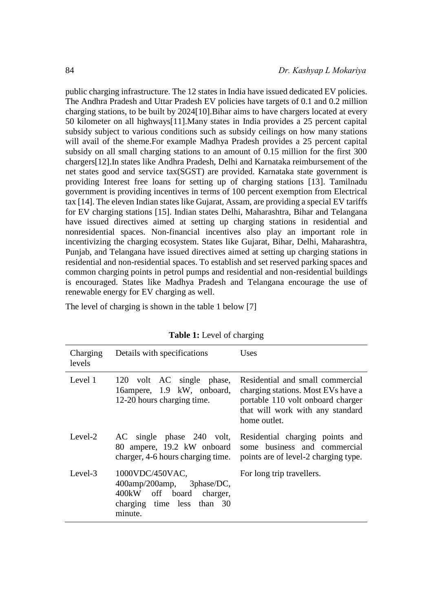public charging infrastructure. The 12 states in India have issued dedicated EV policies. The Andhra Pradesh and Uttar Pradesh EV policies have targets of 0.1 and 0.2 million charging stations, to be built by 2024[10].Bihar aims to have chargers located at every 50 kilometer on all highways[11].Many states in India provides a 25 percent capital subsidy subject to various conditions such as subsidy ceilings on how many stations will avail of the sheme.For example Madhya Pradesh provides a 25 percent capital subsidy on all small charging stations to an amount of 0.15 million for the first 300 chargers[12].In states like Andhra Pradesh, Delhi and Karnataka reimbursement of the net states good and service tax(SGST) are provided. Karnataka state government is providing Interest free loans for setting up of charging stations [13]. Tamilnadu government is providing incentives in terms of 100 percent exemption from Electrical tax [14]. The eleven Indian states like Gujarat, Assam, are providing a special EV tariffs for EV charging stations [15]. Indian states Delhi, Maharashtra, Bihar and Telangana have issued directives aimed at setting up charging stations in residential and nonresidential spaces. Non-financial incentives also play an important role in incentivizing the charging ecosystem. States like Gujarat, Bihar, Delhi, Maharashtra, Punjab, and Telangana have issued directives aimed at setting up charging stations in residential and non-residential spaces. To establish and set reserved parking spaces and common charging points in petrol pumps and residential and non-residential buildings is encouraged. States like Madhya Pradesh and Telangana encourage the use of renewable energy for EV charging as well.

The level of charging is shown in the table 1 below [7]

| Charging<br>levels | Details with specifications                                                                                       | Uses                                                                                                                                                            |
|--------------------|-------------------------------------------------------------------------------------------------------------------|-----------------------------------------------------------------------------------------------------------------------------------------------------------------|
| Level 1            | 120 volt AC single phase,<br>16ampere, 1.9 kW, onboard,<br>12-20 hours charging time.                             | Residential and small commercial<br>charging stations. Most EVs have a<br>portable 110 volt onboard charger<br>that will work with any standard<br>home outlet. |
| Level-2            | 80 ampere, 19.2 kW onboard<br>charger, 4-6 hours charging time.                                                   | AC single phase 240 volt, Residential charging points and<br>some business and commercial<br>points are of level-2 charging type.                               |
| Level-3            | 1000VDC/450VAC,<br>400amp/200amp, 3phase/DC,<br>400kW off board charger,<br>charging time less than 30<br>minute. | For long trip travellers.                                                                                                                                       |

**Table 1:** Level of charging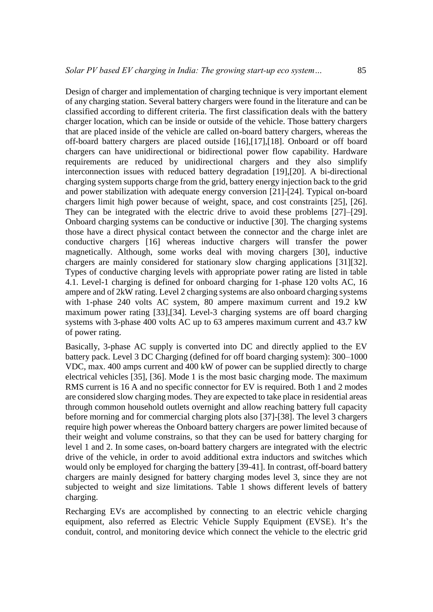Design of charger and implementation of charging technique is very important element of any charging station. Several battery chargers were found in the literature and can be classified according to different criteria. The first classification deals with the battery charger location, which can be inside or outside of the vehicle. Those battery chargers that are placed inside of the vehicle are called on-board battery chargers, whereas the off-board battery chargers are placed outside [16],[17],[18]. Onboard or off board chargers can have unidirectional or bidirectional power flow capability. Hardware requirements are reduced by unidirectional chargers and they also simplify interconnection issues with reduced battery degradation [19],[20]. A bi-directional charging system supports charge from the grid, battery energy injection back to the grid and power stabilization with adequate energy conversion [21]-[24]. Typical on-board chargers limit high power because of weight, space, and cost constraints [25], [26]. They can be integrated with the electric drive to avoid these problems [27]–[29]. Onboard charging systems can be conductive or inductive [30]. The charging systems those have a direct physical contact between the connector and the charge inlet are conductive chargers [16] whereas inductive chargers will transfer the power magnetically. Although, some works deal with moving chargers [30], inductive chargers are mainly considered for stationary slow charging applications [31][32]. Types of conductive charging levels with appropriate power rating are listed in table 4.1. Level-1 charging is defined for onboard charging for 1-phase 120 volts AC, 16 ampere and of 2kW rating. Level 2 charging systems are also onboard charging systems with 1-phase 240 volts AC system, 80 ampere maximum current and 19.2 kW maximum power rating [33],[34]. Level-3 charging systems are off board charging systems with 3-phase 400 volts AC up to 63 amperes maximum current and 43.7 kW of power rating.

Basically, 3-phase AC supply is converted into DC and directly applied to the EV battery pack. Level 3 DC Charging (defined for off board charging system): 300–1000 VDC, max. 400 amps current and 400 kW of power can be supplied directly to charge electrical vehicles [35], [36]. Mode 1 is the most basic charging mode. The maximum RMS current is 16 A and no specific connector for EV is required. Both 1 and 2 modes are considered slow charging modes. They are expected to take place in residential areas through common household outlets overnight and allow reaching battery full capacity before morning and for commercial charging plots also [37]-[38]. The level 3 chargers require high power whereas the Onboard battery chargers are power limited because of their weight and volume constrains, so that they can be used for battery charging for level 1 and 2. In some cases, on-board battery chargers are integrated with the electric drive of the vehicle, in order to avoid additional extra inductors and switches which would only be employed for charging the battery [39-41]. In contrast, off-board battery chargers are mainly designed for battery charging modes level 3, since they are not subjected to weight and size limitations. Table 1 shows different levels of battery charging.

Recharging EVs are accomplished by connecting to an electric vehicle charging equipment, also referred as Electric Vehicle Supply Equipment (EVSE). It's the conduit, control, and monitoring device which connect the vehicle to the electric grid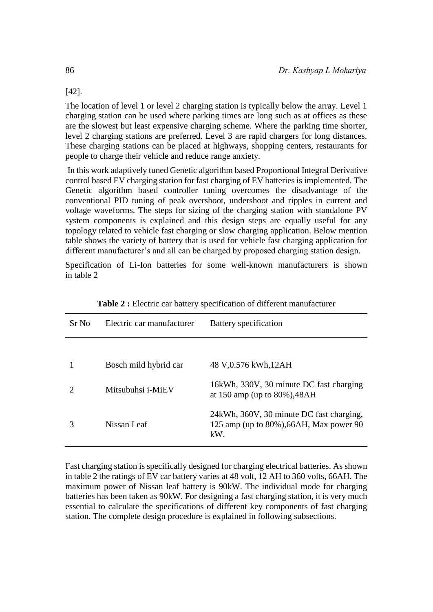[42].

The location of level 1 or level 2 charging station is typically below the array. Level 1 charging station can be used where parking times are long such as at offices as these are the slowest but least expensive charging scheme. Where the parking time shorter, level 2 charging stations are preferred. Level 3 are rapid chargers for long distances. These charging stations can be placed at highways, shopping centers, restaurants for people to charge their vehicle and reduce range anxiety.

In this work adaptively tuned Genetic algorithm based Proportional Integral Derivative control based EV charging station for fast charging of EV batteries is implemented. The Genetic algorithm based controller tuning overcomes the disadvantage of the conventional PID tuning of peak overshoot, undershoot and ripples in current and voltage waveforms. The steps for sizing of the charging station with standalone PV system components is explained and this design steps are equally useful for any topology related to vehicle fast charging or slow charging application. Below mention table shows the variety of battery that is used for vehicle fast charging application for different manufacturer's and all can be charged by proposed charging station design.

Specification of Li-Ion batteries for some well-known manufacturers is shown in table 2

| Sr No | Electric car manufacturer | Battery specification                                                                          |
|-------|---------------------------|------------------------------------------------------------------------------------------------|
|       |                           |                                                                                                |
|       | Bosch mild hybrid car     | 48 V,0.576 kWh,12AH                                                                            |
|       | Mitsubuhsi <i>i-MiEV</i>  | 16kWh, 330V, 30 minute DC fast charging<br>at 150 amp (up to $80\%$ ), 48AH                    |
|       | Nissan Leaf               | 24kWh, 360V, 30 minute DC fast charging,<br>125 amp (up to $80\%$ ), 66AH, Max power 90<br>kW. |

| Table 2 : Electric car battery specification of different manufacturer |  |  |  |
|------------------------------------------------------------------------|--|--|--|
|------------------------------------------------------------------------|--|--|--|

Fast charging station is specifically designed for charging electrical batteries. As shown in table 2 the ratings of EV car battery varies at 48 volt, 12 AH to 360 volts, 66AH. The maximum power of Nissan leaf battery is 90kW. The individual mode for charging batteries has been taken as 90kW. For designing a fast charging station, it is very much essential to calculate the specifications of different key components of fast charging station. The complete design procedure is explained in following subsections.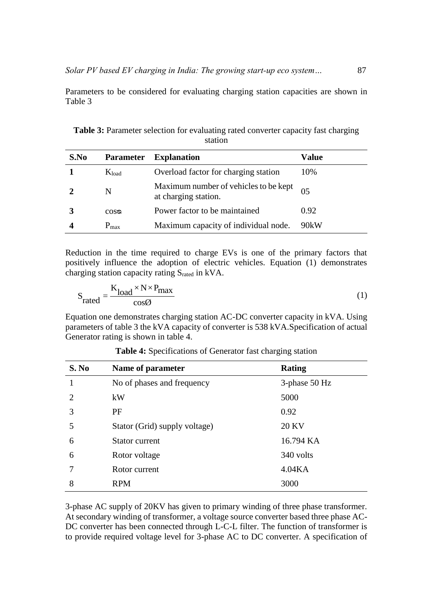Parameters to be considered for evaluating charging station capacities are shown in Table 3

| S.No | <b>Parameter</b> | <b>Explanation</b>                                            | Value |
|------|------------------|---------------------------------------------------------------|-------|
|      | $K_{load}$       | Overload factor for charging station                          | 10%   |
|      | N                | Maximum number of vehicles to be kept<br>at charging station. | 05    |
|      | $\cos \theta$    | Power factor to be maintained                                 | 0.92  |
|      | $P_{\text{max}}$ | Maximum capacity of individual node.                          | 90kW  |

**Table 3:** Parameter selection for evaluating rated converter capacity fast charging station

Reduction in the time required to charge EVs is one of the primary factors that positively influence the adoption of electric vehicles. Equation (1) demonstrates charging station capacity rating Srated in kVA.

$$
S_{\text{rated}} = \frac{K_{\text{load}} \times N \times P_{\text{max}}}{\cos \phi} \tag{1}
$$

Equation one demonstrates charging station AC-DC converter capacity in kVA. Using parameters of table 3 the kVA capacity of converter is 538 kVA.Specification of actual Generator rating is shown in table 4.

| S. No                       | Name of parameter             | <b>Rating</b>       |
|-----------------------------|-------------------------------|---------------------|
| 1                           | No of phases and frequency    | $3$ -phase 50 Hz    |
| $\mathcal{D}_{\mathcal{A}}$ | kW                            | 5000                |
| 3                           | PF                            | 0.92                |
| 5                           | Stator (Grid) supply voltage) | <b>20 KV</b>        |
| 6                           | Stator current                | 16.794 KA           |
| 6                           | Rotor voltage                 | 340 volts           |
|                             | Rotor current                 | 4.04 <sub>K</sub> A |
| 8                           | <b>RPM</b>                    | 3000                |

**Table 4:** Specifications of Generator fast charging station

3-phase AC supply of 20KV has given to primary winding of three phase transformer. At secondary winding of transformer, a voltage source converter based three phase AC-DC converter has been connected through L-C-L filter. The function of transformer is to provide required voltage level for 3-phase AC to DC converter. A specification of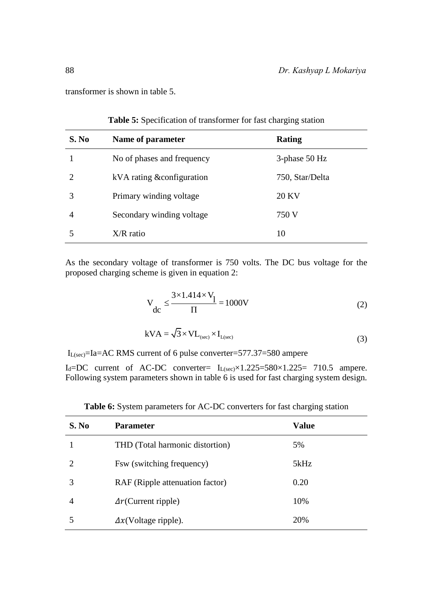transformer is shown in table 5.

| S. No | Name of parameter          | <b>Rating</b>    |
|-------|----------------------------|------------------|
|       | No of phases and frequency | $3$ -phase 50 Hz |
|       | kVA rating & configuration | 750, Star/Delta  |
| 3     | Primary winding voltage    | <b>20 KV</b>     |
| 4     | Secondary winding voltage  | 750 V            |
|       | $X/R$ ratio                | 10               |

**Table 5:** Specification of transformer for fast charging station

As the secondary voltage of transformer is 750 volts. The DC bus voltage for the proposed charging scheme is given in equation 2:

$$
V_{dc} \le \frac{3 \times 1.414 \times V_1}{\Pi} = 1000V
$$
 (2)

$$
kVA = \sqrt{3} \times VL_{(sec)} \times I_{L(sec)}
$$
\n(3)

IL(sec)=Ia=AC RMS current of 6 pulse converter=577.37=580 ampere

 $I_d = DC$  current of AC-DC converter=  $I_{L(sec)} \times 1.225 = 580 \times 1.225 = 710.5$  ampere. Following system parameters shown in table  $\overline{6}$  is used for fast charging system design.

| S. No                       | <b>Parameter</b>                | Value |
|-----------------------------|---------------------------------|-------|
|                             | THD (Total harmonic distortion) | 5%    |
| $\mathcal{D}_{\mathcal{L}}$ | Fsw (switching frequency)       | 5kHz  |
| 3                           | RAF (Ripple attenuation factor) | 0.20  |
| $\overline{4}$              | $\Delta r$ (Current ripple)     | 10%   |
|                             | $\Delta x$ (Voltage ripple).    | 20%   |

**Table 6:** System parameters for AC-DC converters for fast charging station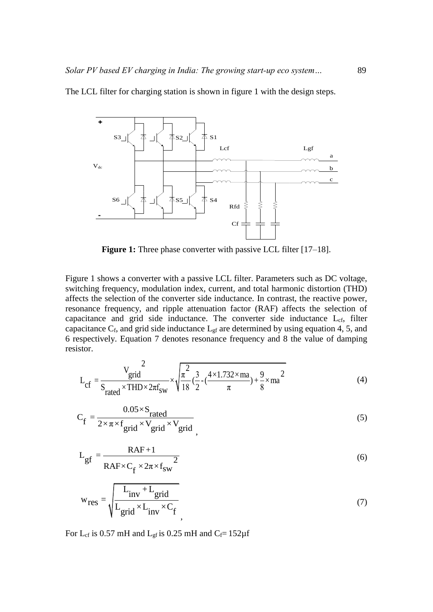

The LCL filter for charging station is shown in figure 1 with the design steps.

**Figure 1:** Three phase converter with passive LCL filter [17–18].

Figure 1 shows a converter with a passive LCL filter. Parameters such as DC voltage, switching frequency, modulation index, current, and total harmonic distortion (THD) affects the selection of the converter side inductance. In contrast, the reactive power, resonance frequency, and ripple attenuation factor (RAF) affects the selection of capacitance and grid side inductance. The converter side inductance L<sub>cf</sub>, filter capacitance  $C_f$ , and grid side inductance  $L_{gf}$  are determined by using equation 4, 5, and 6 respectively. Equation 7 denotes resonance frequency and 8 the value of damping resistor.

$$
L_{cf} = \frac{V_{grid}^{2}}{S_{rated} \times THD \times 2\pi f_{sw}} \times \sqrt{\frac{\pi^{2}}{18} (\frac{3}{2} - (\frac{4 \times 1.732 \times ma}{\pi}) + \frac{9}{8} \times ma^{2}}
$$
(4)

$$
C_f = \frac{0.05 \times S_{\text{rated}}}{2 \times \pi \times f_{\text{grid}} \times V_{\text{grid}}} \tag{5}
$$

$$
L_{gf} = \frac{RAF + 1}{RAF \times C_f \times 2\pi \times f_{sw}^2}
$$
 (6)

$$
w_{res} = \sqrt{\frac{L_{inv} + L_{grid}}{L_{grid} \times L_{inv} \times C_f}}
$$
(7)

For L<sub>cf</sub> is 0.57 mH and L<sub>gf</sub> is 0.25 mH and C<sub>f</sub>=  $152\mu$ f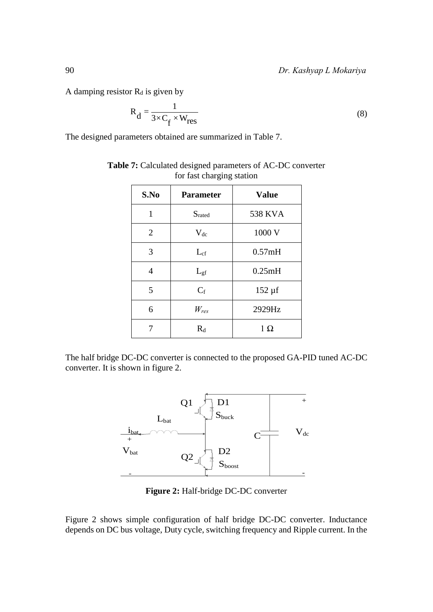A damping resistor  $R_d$  is given by

$$
R_{d} = \frac{1}{3 \times C_{f} \times W_{res}}
$$
 (8)

The designed parameters obtained are summarized in Table 7.

| S.No           | <b>Value</b><br><b>Parameter</b> |                |
|----------------|----------------------------------|----------------|
| 1              | Srated                           | <b>538 KVA</b> |
| $\overline{2}$ | $V_{dc}$                         | 1000 V         |
| 3              | $L_{cf}$                         | 0.57mH         |
| $\overline{4}$ | $L_{\rm gf}$                     | 0.25mH         |
| 5              | $C_f$                            | $152 \mu f$    |
| 6              | $W_{res}$                        | 2929Hz         |
| 7              | $R_d$                            | $1 \Omega$     |

**Table 7:** Calculated designed parameters of AC-DC converter for fast charging station

The half bridge DC-DC converter is connected to the proposed GA-PID tuned AC-DC converter. It is shown in figure 2.



**Figure 2:** Half-bridge DC-DC converter

Figure 2 shows simple configuration of half bridge DC-DC converter. Inductance depends on DC bus voltage, Duty cycle, switching frequency and Ripple current. In the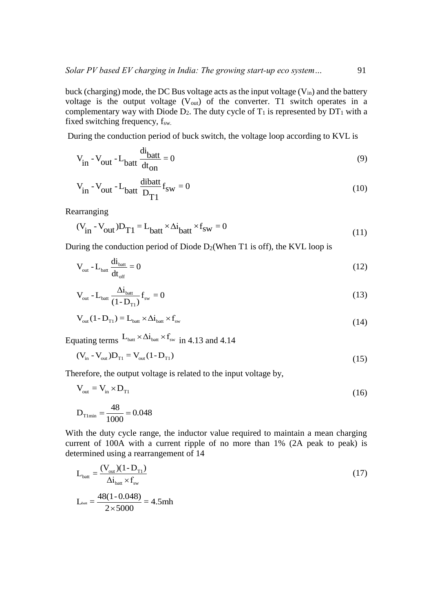buck (charging) mode, the DC Bus voltage acts as the input voltage  $(V_{in})$  and the battery voltage is the output voltage  $(V_{out})$  of the converter. T1 switch operates in a complementary way with Diode  $D_2$ . The duty cycle of  $T_1$  is represented by  $DT_1$  with a fixed switching frequency,  $f_{sw.}$ 

During the conduction period of buck switch, the voltage loop according to KVL is

$$
V_{in} - V_{out} - L_{bat} \frac{di_{batt}}{dt_{on}} = 0
$$
\n(9)

$$
V_{in} - V_{out} - L_{batt} \frac{dibatt}{D_{T1}} f_{sw} = 0
$$
 (10)

Rearranging

arranging  
\n
$$
(V_{in} - V_{out})D_{T1} = L_{batt} \times \Delta i_{batt} \times f_{sw} = 0
$$
 (11)

During the conduction period of Diode  $D_2$ (When T1 is off), the KVL loop is

$$
V_{\text{out}} - L_{\text{batt}} \frac{di_{\text{batt}}}{dt_{\text{off}}} = 0
$$
\n(12)

$$
V_{\text{out}} - L_{\text{batt}} \frac{\Delta i_{\text{batt}}}{(1 - D_{\text{T1}})} f_{\text{sw}} = 0
$$
\n(13)

$$
V_{out}(1 - D_{T1}) = L_{bat} \times \Delta i_{bat} \times f_{sw}
$$
 (14)

Equating terms  $L_{\text{batt}} \times \Delta i_{\text{batt}} \times f_{\text{sw}}$  in 4.13 and 4.14

$$
(V_{in} - V_{out})D_{T1} = V_{out}(1 - D_{T1})
$$
\n(15)

Therefore, the output voltage is related to the input voltage by,

$$
V_{\text{out}} = V_{\text{in}} \times D_{\text{T1}} \tag{16}
$$

$$
D_{\text{T1min}} = \frac{48}{1000} = 0.048
$$

With the duty cycle range, the inductor value required to maintain a mean charging current of 100A with a current ripple of no more than 1% (2A peak to peak) is determined using a rearrangement of 14

$$
L_{\text{batt}} = \frac{(V_{\text{out}})(1 - D_{\text{T1}})}{\Delta i_{\text{batt}} \times f_{\text{sw}}}
$$
  

$$
L_{\text{batt}} = \frac{48(1 - 0.048)}{2 \times 5000} = 4.5 \text{mh}
$$
 (17)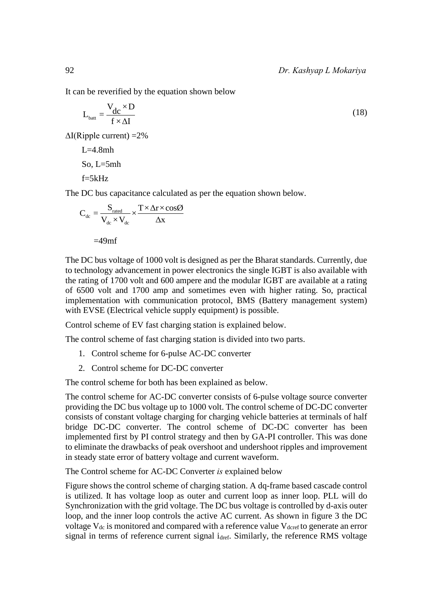It can be reverified by the equation shown below

$$
L_{\text{batt}} = \frac{V_{dc} \times D}{f \times \Delta I} \tag{18}
$$

 $\Delta I(Ripple current) = 2\%$ 

 $L=4.8mh$ So, L=5mh  $f=5kHz$ 

The DC bus capacitance calculated as per the equation shown below.

$$
C_{dc} = \frac{S_{\text{rated}}}{V_{dc} \times V_{dc}} \times \frac{T \times \Delta r \times \cos\theta}{\Delta x}
$$
  
=49mf

The DC bus voltage of 1000 volt is designed as per the Bharat standards. Currently, due to technology advancement in power electronics the single IGBT is also available with the rating of 1700 volt and 600 ampere and the modular IGBT are available at a rating of 6500 volt and 1700 amp and sometimes even with higher rating. So, practical implementation with communication protocol, BMS (Battery management system) with EVSE (Electrical vehicle supply equipment) is possible.

Control scheme of EV fast charging station is explained below.

The control scheme of fast charging station is divided into two parts.

- 1. Control scheme for 6-pulse AC-DC converter
- 2. Control scheme for DC-DC converter

The control scheme for both has been explained as below.

The control scheme for AC-DC converter consists of 6-pulse voltage source converter providing the DC bus voltage up to 1000 volt. The control scheme of DC-DC converter consists of constant voltage charging for charging vehicle batteries at terminals of half bridge DC-DC converter. The control scheme of DC-DC converter has been implemented first by PI control strategy and then by GA-PI controller. This was done to eliminate the drawbacks of peak overshoot and undershoot ripples and improvement in steady state error of battery voltage and current waveform.

The Control scheme for AC-DC Converter *is* explained below

Figure shows the control scheme of charging station. A dq-frame based cascade control is utilized. It has voltage loop as outer and current loop as inner loop. PLL will do Synchronization with the grid voltage. The DC bus voltage is controlled by d-axis outer loop, and the inner loop controls the active AC current. As shown in figure 3 the DC voltage  $V_{dc}$  is monitored and compared with a reference value  $V_{d\text{cref}}$  to generate an error signal in terms of reference current signal idref. Similarly, the reference RMS voltage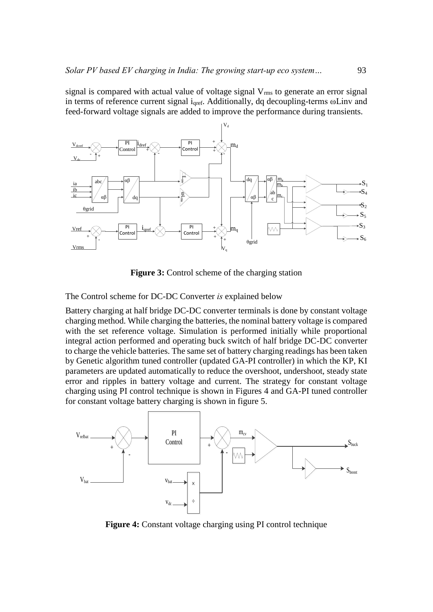signal is compared with actual value of voltage signal  $V_{\rm rms}$  to generate an error signal in terms of reference current signal iqref. Additionally, dq decoupling-terms ωLinv and feed-forward voltage signals are added to improve the performance during transients.



**Figure 3:** Control scheme of the charging station

The Control scheme for DC-DC Converter *is* explained below

Battery charging at half bridge DC-DC converter terminals is done by constant voltage charging method. While charging the batteries, the nominal battery voltage is compared with the set reference voltage. Simulation is performed initially while proportional integral action performed and operating buck switch of half bridge DC-DC converter to charge the vehicle batteries. The same set of battery charging readings has been taken by Genetic algorithm tuned controller (updated GA-PI controller) in which the KP, KI parameters are updated automatically to reduce the overshoot, undershoot, steady state error and ripples in battery voltage and current. The strategy for constant voltage charging using PI control technique is shown in Figures 4 and GA-PI tuned controller for constant voltage battery charging is shown in figure 5.



**Figure 4:** Constant voltage charging using PI control technique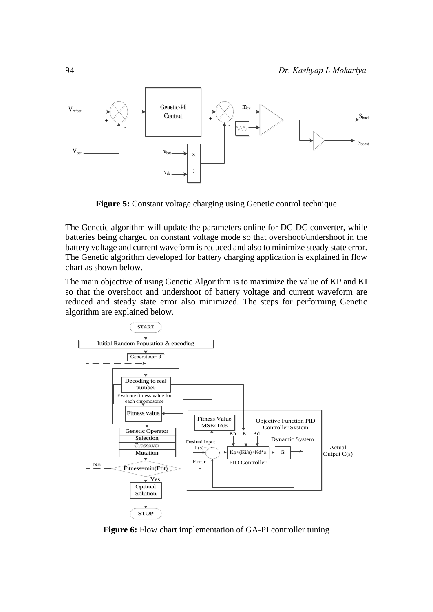

**Figure 5:** Constant voltage charging using Genetic control technique

The Genetic algorithm will update the parameters online for DC-DC converter, while batteries being charged on constant voltage mode so that overshoot/undershoot in the battery voltage and current waveform is reduced and also to minimize steady state error. The Genetic algorithm developed for battery charging application is explained in flow chart as shown below.

The main objective of using Genetic Algorithm is to maximize the value of KP and KI so that the overshoot and undershoot of battery voltage and current waveform are reduced and steady state error also minimized. The steps for performing Genetic algorithm are explained below.



**Figure 6:** Flow chart implementation of GA-PI controller tuning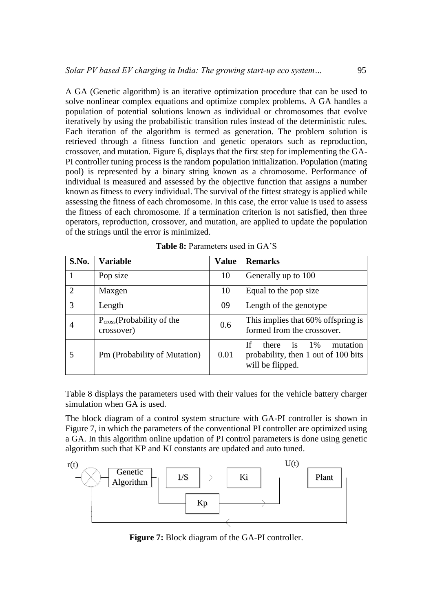A GA (Genetic algorithm) is an iterative optimization procedure that can be used to solve nonlinear complex equations and optimize complex problems. A GA handles a population of potential solutions known as individual or chromosomes that evolve iteratively by using the probabilistic transition rules instead of the deterministic rules. Each iteration of the algorithm is termed as generation. The problem solution is retrieved through a fitness function and genetic operators such as reproduction, crossover, and mutation. Figure 6, displays that the first step for implementing the GA-PI controller tuning process is the random population initialization. Population (mating pool) is represented by a binary string known as a chromosome. Performance of individual is measured and assessed by the objective function that assigns a number known as fitness to every individual. The survival of the fittest strategy is applied while assessing the fitness of each chromosome. In this case, the error value is used to assess the fitness of each chromosome. If a termination criterion is not satisfied, then three operators, reproduction, crossover, and mutation, are applied to update the population of the strings until the error is minimized.

| S.No.                       | Variable                                             | <b>Value</b> | <b>Remarks</b>                                                                                           |
|-----------------------------|------------------------------------------------------|--------------|----------------------------------------------------------------------------------------------------------|
|                             | Pop size                                             | 10           | Generally up to 100                                                                                      |
| $\mathcal{D}_{\mathcal{L}}$ | Maxgen                                               | 10           | Equal to the pop size                                                                                    |
| 3                           | Length                                               | 09           | Length of the genotype                                                                                   |
| 4                           | P <sub>cross</sub> (Probability of the<br>crossover) | 0.6          | This implies that 60% offspring is<br>formed from the crossover.                                         |
|                             | Pm (Probability of Mutation)                         | 0.01         | is<br><b>If</b><br>mutation<br>$1\%$<br>there<br>probability, then 1 out of 100 bits<br>will be flipped. |

**Table 8:** Parameters used in GA'S

Table 8 displays the parameters used with their values for the vehicle battery charger simulation when GA is used.

The block diagram of a control system structure with GA-PI controller is shown in Figure 7, in which the parameters of the conventional PI controller are optimized using a GA. In this algorithm online updation of PI control parameters is done using genetic algorithm such that KP and KI constants are updated and auto tuned.



**Figure 7:** Block diagram of the GA-PI controller.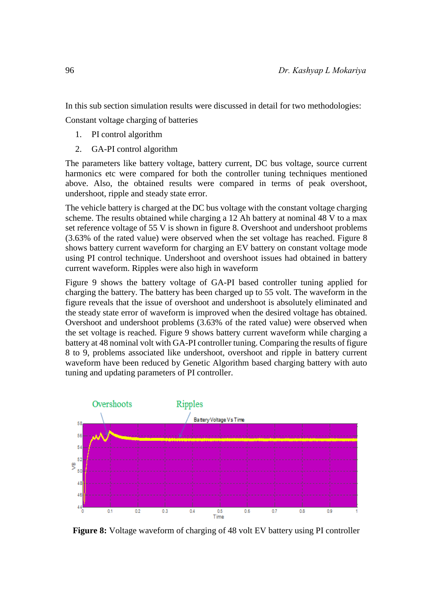In this sub section simulation results were discussed in detail for two methodologies:

Constant voltage charging of batteries

- 1. PI control algorithm
- 2. GA-PI control algorithm

The parameters like battery voltage, battery current, DC bus voltage, source current harmonics etc were compared for both the controller tuning techniques mentioned above. Also, the obtained results were compared in terms of peak overshoot, undershoot, ripple and steady state error.

The vehicle battery is charged at the DC bus voltage with the constant voltage charging scheme. The results obtained while charging a 12 Ah battery at nominal 48 V to a max set reference voltage of 55 V is shown in figure 8. Overshoot and undershoot problems (3.63% of the rated value) were observed when the set voltage has reached. Figure 8 shows battery current waveform for charging an EV battery on constant voltage mode using PI control technique. Undershoot and overshoot issues had obtained in battery current waveform. Ripples were also high in waveform

Figure 9 shows the battery voltage of GA-PI based controller tuning applied for charging the battery. The battery has been charged up to 55 volt. The waveform in the figure reveals that the issue of overshoot and undershoot is absolutely eliminated and the steady state error of waveform is improved when the desired voltage has obtained. Overshoot and undershoot problems (3.63% of the rated value) were observed when the set voltage is reached. Figure 9 shows battery current waveform while charging a battery at 48 nominal volt with GA-PI controller tuning. Comparing the results of figure 8 to 9, problems associated like undershoot, overshoot and ripple in battery current waveform have been reduced by Genetic Algorithm based charging battery with auto tuning and updating parameters of PI controller.



**Figure 8:** Voltage waveform of charging of 48 volt EV battery using PI controller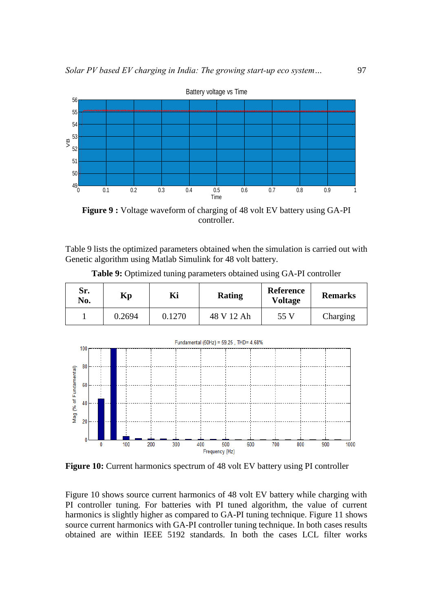

**Figure 9 :** Voltage waveform of charging of 48 volt EV battery using GA-PI controller.

Table 9 lists the optimized parameters obtained when the simulation is carried out with Genetic algorithm using Matlab Simulink for 48 volt battery.

| Sr.<br>No. | Kр     | Ki     | <b>Rating</b> | <b>Reference</b><br><b>Voltage</b> | <b>Remarks</b> |
|------------|--------|--------|---------------|------------------------------------|----------------|
|            | 0.2694 | 0.1270 | 48 V 12 Ah    | 55 V                               | Charging       |

**Table 9:** Optimized tuning parameters obtained using GA-PI controller



**Figure 10:** Current harmonics spectrum of 48 volt EV battery using PI controller

Figure 10 shows source current harmonics of 48 volt EV battery while charging with PI controller tuning. For batteries with PI tuned algorithm, the value of current harmonics is slightly higher as compared to GA-PI tuning technique. Figure 11 shows source current harmonics with GA-PI controller tuning technique. In both cases results obtained are within IEEE 5192 standards. In both the cases LCL filter works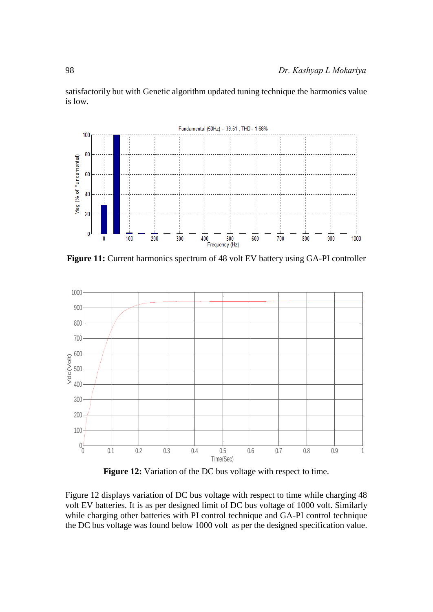satisfactorily but with Genetic algorithm updated tuning technique the harmonics value is low.



**Figure 11:** Current harmonics spectrum of 48 volt EV battery using GA-PI controller



**Figure 12:** Variation of the DC bus voltage with respect to time.

Figure 12 displays variation of DC bus voltage with respect to time while charging 48 volt EV batteries. It is as per designed limit of DC bus voltage of 1000 volt. Similarly while charging other batteries with PI control technique and GA-PI control technique the DC bus voltage was found below 1000 volt as per the designed specification value.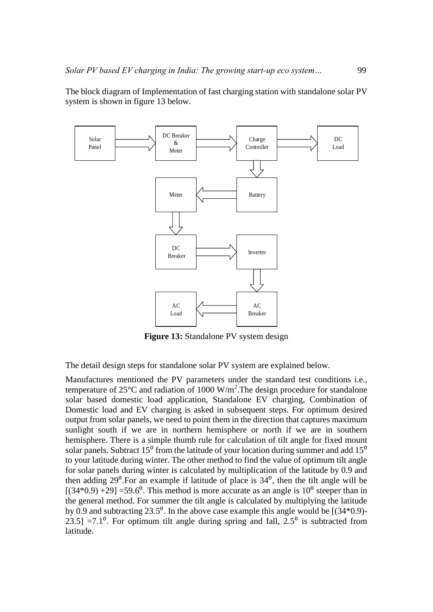The block diagram of Implementation of fast charging station with standalone solar PV system is shown in figure 13 below.



**Figure 13:** Standalone PV system design

The detail design steps for standalone solar PV system are explained below.

Manufactures mentioned the PV parameters under the standard test conditions i.e., temperature of  $25^{\circ}$ C and radiation of 1000 W/m<sup>2</sup>. The design procedure for standalone solar based domestic load application, Standalone EV charging, Combination of Domestic load and EV charging is asked in subsequent steps. For optimum desired output from solar panels, we need to point them in the direction that captures maximum sunlight south if we are in northern hemisphere or north if we are in southern hemisphere. There is a simple thumb rule for calculation of tilt angle for fixed mount solar panels. Subtract  $15^{\circ}$  from the latitude of your location during summer and add  $15^{\circ}$ to your latitude during winter. The other method to find the value of optimum tilt angle for solar panels during winter is calculated by multiplication of the latitude by 0.9 and then adding  $29^{\circ}$ . For an example if latitude of place is  $34^{\circ}$ , then the tilt angle will be  $[(34*0.9) +29] = 59.6^{\circ}$ . This method is more accurate as an angle is  $10^{\circ}$  steeper than in the general method. For summer the tilt angle is calculated by multiplying the latitude by 0.9 and subtracting  $23.5^{\circ}$ . In the above case example this angle would be  $[(34*0.9)-$ 23.5] =7.1<sup>0</sup>. For optimum tilt angle during spring and fall,  $2.5<sup>0</sup>$  is subtracted from latitude.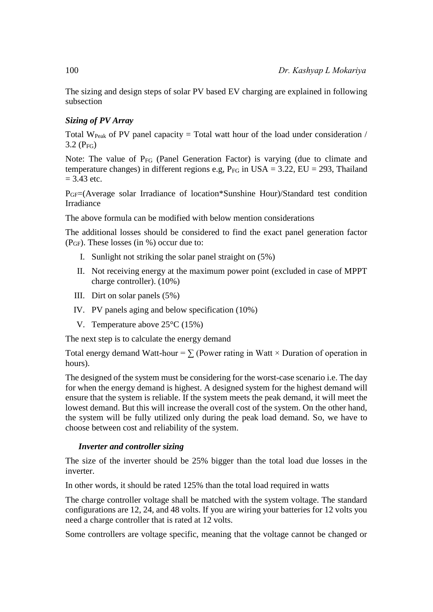The sizing and design steps of solar PV based EV charging are explained in following subsection

## *Sizing of PV Array*

Total W<sub>Peak</sub> of PV panel capacity = Total watt hour of the load under consideration /  $3.2$  (P<sub>FG</sub>)

Note: The value of P<sub>FG</sub> (Panel Generation Factor) is varying (due to climate and temperature changes) in different regions e.g,  $P_{FG}$  in USA = 3.22, EU = 293, Thailand  $= 3.43$  etc.

PGF=(Average solar Irradiance of location\*Sunshine Hour)/Standard test condition Irradiance

The above formula can be modified with below mention considerations

The additional losses should be considered to find the exact panel generation factor (PGF). These losses (in %) occur due to:

- I. Sunlight not striking the solar panel straight on (5%)
- II. Not receiving energy at the maximum power point (excluded in case of MPPT charge controller). (10%)
- III. Dirt on solar panels (5%)
- IV. PV panels aging and below specification (10%)
- V. Temperature above 25°C (15%)

The next step is to calculate the energy demand

Total energy demand Watt-hour =  $\sum$  (Power rating in Watt × Duration of operation in hours).

The designed of the system must be considering for the worst-case scenario i.e. The day for when the energy demand is highest. A designed system for the highest demand will ensure that the system is reliable. If the system meets the peak demand, it will meet the lowest demand. But this will increase the overall cost of the system. On the other hand, the system will be fully utilized only during the peak load demand. So, we have to choose between cost and reliability of the system.

### *Inverter and controller sizing*

The size of the inverter should be 25% bigger than the total load due losses in the inverter.

In other words, it should be rated 125% than the total load required in watts

The charge controller voltage shall be matched with the system voltage. The standard configurations are 12, 24, and 48 volts. If you are wiring your batteries for 12 volts you need a charge controller that is rated at 12 volts.

Some controllers are voltage specific, meaning that the voltage cannot be changed or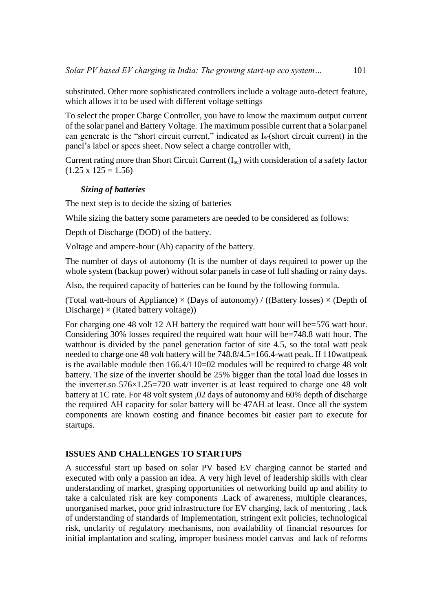substituted. Other more sophisticated controllers include a voltage auto-detect feature, which allows it to be used with different voltage settings

To select the proper Charge Controller, you have to know the maximum output current of the solar panel and Battery Voltage. The maximum possible current that a Solar panel can generate is the "short circuit current," indicated as  $I_{\rm sc}$ (short circuit current) in the panel's label or specs sheet. Now select a charge controller with,

Current rating more than Short Circuit Current (Isc) with consideration of a safety factor  $(1.25 \times 125 = 1.56)$ 

### *Sizing of batteries*

The next step is to decide the sizing of batteries

While sizing the battery some parameters are needed to be considered as follows:

Depth of Discharge (DOD) of the battery.

Voltage and ampere-hour (Ah) capacity of the battery.

The number of days of autonomy (It is the number of days required to power up the whole system (backup power) without solar panels in case of full shading or rainy days.

Also, the required capacity of batteries can be found by the following formula.

(Total watt-hours of Appliance)  $\times$  (Days of autonomy) / ((Battery losses)  $\times$  (Depth of Discharge)  $\times$  (Rated battery voltage))

For charging one 48 volt 12 AH battery the required watt hour will be=576 watt hour. Considering 30% losses required the required watt hour will be=748.8 watt hour. The watthour is divided by the panel generation factor of site 4.5, so the total watt peak needed to charge one 48 volt battery will be 748.8/4.5=166.4-watt peak. If 110wattpeak is the available module then 166.4/110=02 modules will be required to charge 48 volt battery. The size of the inverter should be 25% bigger than the total load due losses in the inverter.so 576×1.25=720 watt inverter is at least required to charge one 48 volt battery at 1C rate. For 48 volt system ,02 days of autonomy and 60% depth of discharge the required AH capacity for solar battery will be 47AH at least. Once all the system components are known costing and finance becomes bit easier part to execute for startups.

## **ISSUES AND CHALLENGES TO STARTUPS**

A successful start up based on solar PV based EV charging cannot be started and executed with only a passion an idea. A very high level of leadership skills with clear understanding of market, grasping opportunities of networking build up and ability to take a calculated risk are key components .Lack of awareness, multiple clearances, unorganised market, poor grid infrastructure for EV charging, lack of mentoring , lack of understanding of standards of Implementation, stringent exit policies, technological risk, unclarity of regulatory mechanisms, non availability of financial resources for initial implantation and scaling, improper business model canvas and lack of reforms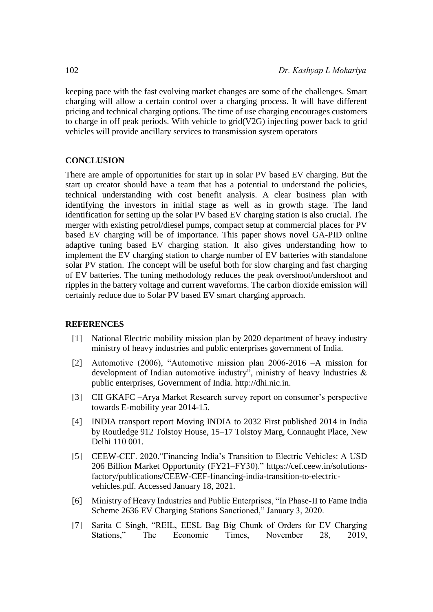keeping pace with the fast evolving market changes are some of the challenges. Smart charging will allow a certain control over a charging process. It will have different pricing and technical charging options. The time of use charging encourages customers to charge in off peak periods. With vehicle to grid(V2G) injecting power back to grid vehicles will provide ancillary services to transmission system operators

## **CONCLUSION**

There are ample of opportunities for start up in solar PV based EV charging. But the start up creator should have a team that has a potential to understand the policies, technical understanding with cost benefit analysis. A clear business plan with identifying the investors in initial stage as well as in growth stage. The land identification for setting up the solar PV based EV charging station is also crucial. The merger with existing petrol/diesel pumps, compact setup at commercial places for PV based EV charging will be of importance. This paper shows novel GA-PID online adaptive tuning based EV charging station. It also gives understanding how to implement the EV charging station to charge number of EV batteries with standalone solar PV station. The concept will be useful both for slow charging and fast charging of EV batteries. The tuning methodology reduces the peak overshoot/undershoot and ripples in the battery voltage and current waveforms. The carbon dioxide emission will certainly reduce due to Solar PV based EV smart charging approach.

## **REFERENCES**

- [1] National Electric mobility mission plan by 2020 department of heavy industry ministry of heavy industries and public enterprises government of India.
- [2] Automotive (2006), "Automotive mission plan 2006-2016 –A mission for development of Indian automotive industry", ministry of heavy Industries & public enterprises, Government of India. http://dhi.nic.in.
- [3] CII GKAFC –Arya Market Research survey report on consumer's perspective towards E-mobility year 2014-15.
- [4] INDIA transport report Moving INDIA to 2032 First published 2014 in India by Routledge 912 Tolstoy House, 15–17 Tolstoy Marg, Connaught Place, New Delhi 110 001.
- [5] CEEW-CEF. 2020."Financing India's Transition to Electric Vehicles: A USD 206 Billion Market Opportunity (FY21–FY30)." https://cef.ceew.in/solutionsfactory/publications/CEEW-CEF-financing-india-transition-to-electricvehicles.pdf. Accessed January 18, 2021.
- [6] Ministry of Heavy Industries and Public Enterprises, "In Phase-II to Fame India Scheme 2636 EV Charging Stations Sanctioned," January 3, 2020.
- [7] Sarita C Singh, "REIL, EESL Bag Big Chunk of Orders for EV Charging Stations," The Economic Times, November 28, 2019,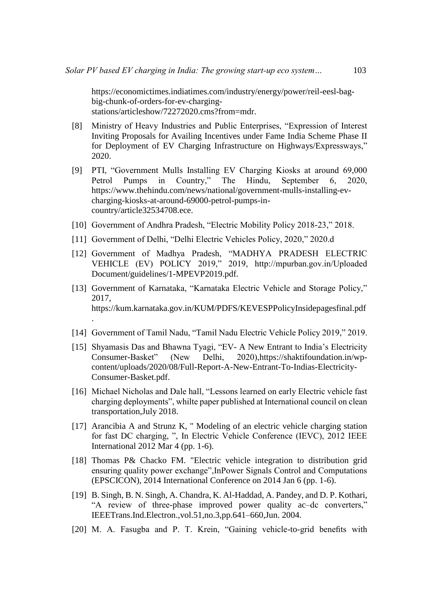https://economictimes.indiatimes.com/industry/energy/power/reil-eesl-bagbig-chunk-of-orders-for-ev-chargingstations/articleshow/72272020.cms?from=mdr.

- [8] Ministry of Heavy Industries and Public Enterprises, "Expression of Interest Inviting Proposals for Availing Incentives under Fame India Scheme Phase II for Deployment of EV Charging Infrastructure on Highways/Expressways," 2020.
- [9] PTI, "Government Mulls Installing EV Charging Kiosks at around 69,000 Petrol Pumps in Country," The Hindu, September 6, 2020, [https://www.thehindu.com/news/national/government-mulls-installing-ev](https://www.thehindu.com/news/national/government-mulls-installing-ev-charging-kiosks-at-around-69000-petrol-pumps-in-country/article32534708.ece)[charging-kiosks-at-around-69000-petrol-pumps-in](https://www.thehindu.com/news/national/government-mulls-installing-ev-charging-kiosks-at-around-69000-petrol-pumps-in-country/article32534708.ece)[country/article32534708.ece.](https://www.thehindu.com/news/national/government-mulls-installing-ev-charging-kiosks-at-around-69000-petrol-pumps-in-country/article32534708.ece)
- [10] Government of Andhra Pradesh, "Electric Mobility Policy 2018-23," 2018.
- [11] Government of Delhi, "Delhi Electric Vehicles Policy, 2020," 2020.d
- [12] Government of Madhya Pradesh, "MADHYA PRADESH ELECTRIC VEHICLE (EV) POLICY 2019," 2019, http://mpurban.gov.in/Uploaded Document/guidelines/1-MPEVP2019.pdf.
- [13] Government of Karnataka, "Karnataka Electric Vehicle and Storage Policy," 2017, https://kum.karnataka.gov.in/KUM/PDFS/KEVESPPolicyInsidepagesfinal.pdf .
- [14] Government of Tamil Nadu, "Tamil Nadu Electric Vehicle Policy 2019," 2019.
- [15] Shyamasis Das and Bhawna Tyagi, "EV- A New Entrant to India's Electricity Consumer-Basket" (New Delhi, 2020)[,https://shaktifoundation.in/wp](https://shaktifoundation.in/wp-content/uploads/2020/08/Full-Report-A-New-Entrant-To-Indias-Electricity-Consumer-Basket.pdf)[content/uploads/2020/08/Full-Report-A-New-Entrant-To-Indias-Electricity-](https://shaktifoundation.in/wp-content/uploads/2020/08/Full-Report-A-New-Entrant-To-Indias-Electricity-Consumer-Basket.pdf)[Consumer-Basket.pdf.](https://shaktifoundation.in/wp-content/uploads/2020/08/Full-Report-A-New-Entrant-To-Indias-Electricity-Consumer-Basket.pdf)
- [16] Michael Nicholas and Dale hall, "Lessons learned on early Electric vehicle fast charging deployments", whilte paper published at International council on clean transportation,July 2018.
- [17] Arancibia A and Strunz K, " Modeling of an electric vehicle charging station for fast DC charging, ", In Electric Vehicle Conference (IEVC), 2012 IEEE International 2012 Mar 4 (pp. 1-6).
- [18] Thomas P& Chacko FM. "Electric vehicle integration to distribution grid ensuring quality power exchange",InPower Signals Control and Computations (EPSCICON), 2014 International Conference on 2014 Jan 6 (pp. 1-6).
- <span id="page-22-0"></span>[19] B. Singh, B. N. Singh, A. Chandra, K. Al-Haddad, A. Pandey, and D. P. Kothari, "A review of three-phase improved power quality ac–dc converters," IEEETrans.Ind.Electron.,vol.51,no.3,pp.641–660,Jun. 2004.
- [20] M. A. Fasugba and P. T. Krein, "Gaining vehicle-to-grid benefits with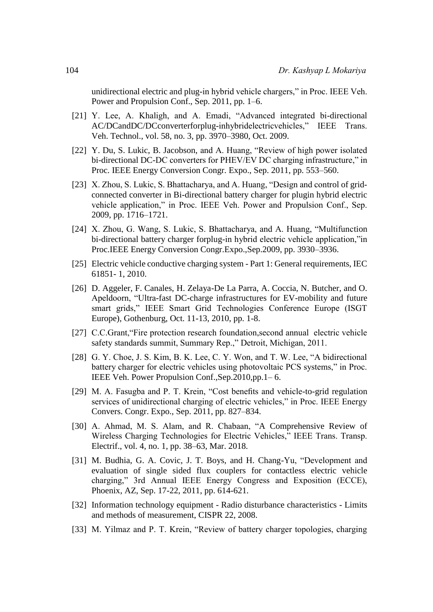unidirectional electric and plug-in hybrid vehicle chargers," in Proc. IEEE Veh. Power and Propulsion Conf., Sep. 2011, pp. 1–6.

- [21] Y. Lee, A. Khaligh, and A. Emadi, "Advanced integrated bi-directional AC/DCandDC/DCconverterforplug-inhybridelectricvehicles," IEEE Trans. Veh. Technol., vol. 58, no. 3, pp. 3970–3980, Oct. 2009.
- [22] Y. Du, S. Lukic, B. Jacobson, and A. Huang, "Review of high power isolated bi-directional DC-DC converters for PHEV/EV DC charging infrastructure," in Proc. IEEE Energy Conversion Congr. Expo., Sep. 2011, pp. 553–560.
- [23] X. Zhou, S. Lukic, S. Bhattacharya, and A. Huang, "Design and control of gridconnected converter in Bi-directional battery charger for plugin hybrid electric vehicle application," in Proc. IEEE Veh. Power and Propulsion Conf., Sep. 2009, pp. 1716–1721.
- [24] X. Zhou, G. Wang, S. Lukic, S. Bhattacharya, and A. Huang, "Multifunction bi-directional battery charger forplug-in hybrid electric vehicle application,"in Proc.IEEE Energy Conversion Congr.Expo.,Sep.2009, pp. 3930–3936.
- [25] Electric vehicle conductive charging system Part 1: General requirements, IEC 61851- 1, 2010.
- [26] D. Aggeler, F. Canales, H. Zelaya-De La Parra, A. Coccia, N. Butcher, and O. Apeldoorn, "Ultra-fast DC-charge infrastructures for EV-mobility and future smart grids," IEEE Smart Grid Technologies Conference Europe (ISGT Europe), Gothenburg, Oct. 11-13, 2010, pp. 1-8.
- [27] C.C.Grant, "Fire protection research foundation, second annual electric vehicle safety standards summit, Summary Rep.," Detroit, Michigan, 2011.
- [28] G. Y. Choe, J. S. Kim, B. K. Lee, C. Y. Won, and T. W. Lee, "A bidirectional battery charger for electric vehicles using photovoltaic PCS systems," in Proc. IEEE Veh. Power Propulsion Conf.,Sep.2010,pp.1– 6.
- [29] M. A. Fasugba and P. T. Krein, "Cost benefits and vehicle-to-grid regulation services of unidirectional charging of electric vehicles," in Proc. IEEE Energy Convers. Congr. Expo., Sep. 2011, pp. 827–834.
- [30] A. Ahmad, M. S. Alam, and R. Chabaan, "A Comprehensive Review of Wireless Charging Technologies for Electric Vehicles," IEEE Trans. Transp. Electrif., vol. 4, no. 1, pp. 38–63, Mar. 2018.
- [31] M. Budhia, G. A. Covic, J. T. Boys, and H. Chang-Yu, "Development and evaluation of single sided flux couplers for contactless electric vehicle charging," 3rd Annual IEEE Energy Congress and Exposition (ECCE), Phoenix, AZ, Sep. 17-22, 2011, pp. 614-621.
- [32] Information technology equipment Radio disturbance characteristics Limits and methods of measurement, CISPR 22, 2008.
- [33] M. Yilmaz and P. T. Krein, "Review of battery charger topologies, charging